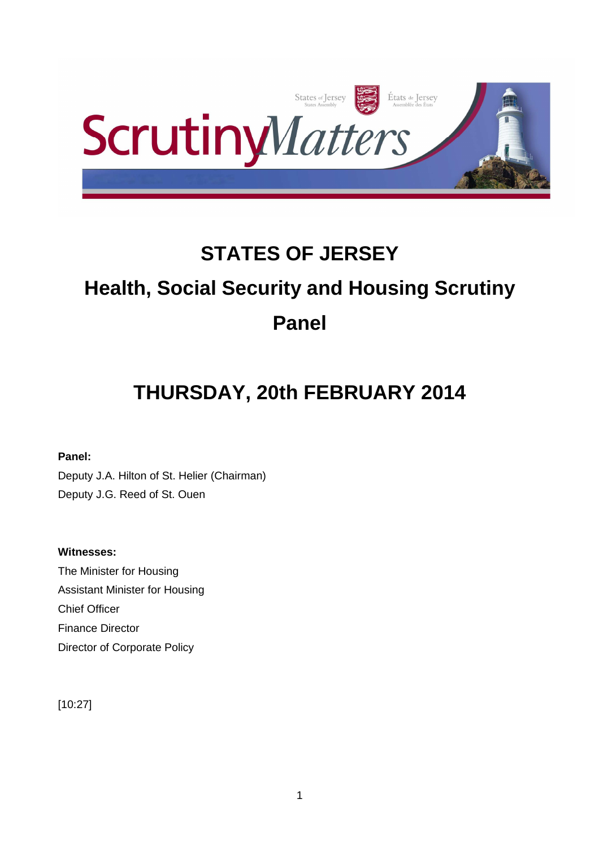

# **STATES OF JERSEY Health, Social Security and Housing Scrutiny Panel**

# **THURSDAY, 20th FEBRUARY 2014**

**Panel:** 

Deputy J.A. Hilton of St. Helier (Chairman) Deputy J.G. Reed of St. Ouen

# **Witnesses:**

The Minister for Housing Assistant Minister for Housing Chief Officer Finance Director Director of Corporate Policy

[10:27]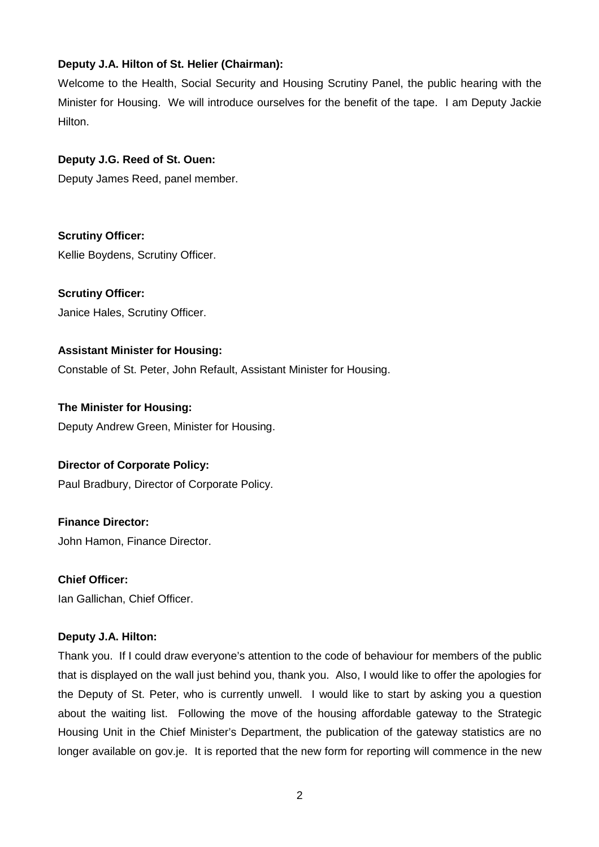# **Deputy J.A. Hilton of St. Helier (Chairman):**

Welcome to the Health, Social Security and Housing Scrutiny Panel, the public hearing with the Minister for Housing. We will introduce ourselves for the benefit of the tape. I am Deputy Jackie Hilton.

# **Deputy J.G. Reed of St. Ouen:**

Deputy James Reed, panel member.

**Scrutiny Officer:**  Kellie Boydens, Scrutiny Officer.

**Scrutiny Officer:**  Janice Hales, Scrutiny Officer.

# **Assistant Minister for Housing:**

Constable of St. Peter, John Refault, Assistant Minister for Housing.

**The Minister for Housing:** Deputy Andrew Green, Minister for Housing.

# **Director of Corporate Policy:**

Paul Bradbury, Director of Corporate Policy.

**Finance Director:**

John Hamon, Finance Director.

**Chief Officer:** Ian Gallichan, Chief Officer.

# **Deputy J.A. Hilton:**

Thank you. If I could draw everyone's attention to the code of behaviour for members of the public that is displayed on the wall just behind you, thank you. Also, I would like to offer the apologies for the Deputy of St. Peter, who is currently unwell. I would like to start by asking you a question about the waiting list. Following the move of the housing affordable gateway to the Strategic Housing Unit in the Chief Minister's Department, the publication of the gateway statistics are no longer available on gov.je. It is reported that the new form for reporting will commence in the new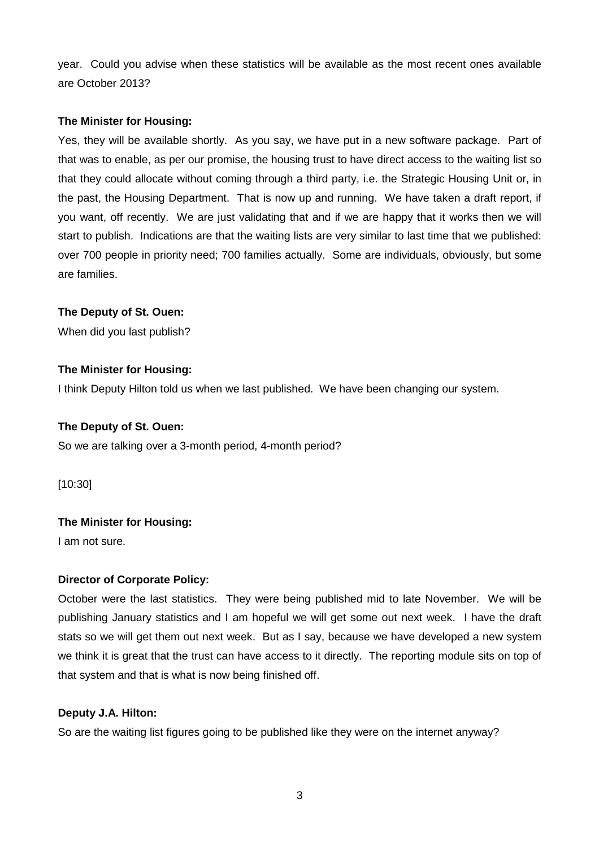year. Could you advise when these statistics will be available as the most recent ones available are October 2013?

# **The Minister for Housing:**

Yes, they will be available shortly. As you say, we have put in a new software package. Part of that was to enable, as per our promise, the housing trust to have direct access to the waiting list so that they could allocate without coming through a third party, i.e. the Strategic Housing Unit or, in the past, the Housing Department. That is now up and running. We have taken a draft report, if you want, off recently. We are just validating that and if we are happy that it works then we will start to publish. Indications are that the waiting lists are very similar to last time that we published: over 700 people in priority need; 700 families actually. Some are individuals, obviously, but some are families.

# **The Deputy of St. Ouen:**

When did you last publish?

# **The Minister for Housing:**

I think Deputy Hilton told us when we last published. We have been changing our system.

# **The Deputy of St. Ouen:**

So we are talking over a 3-month period, 4-month period?

[10:30]

# **The Minister for Housing:**

I am not sure.

# **Director of Corporate Policy:**

October were the last statistics. They were being published mid to late November. We will be publishing January statistics and I am hopeful we will get some out next week. I have the draft stats so we will get them out next week. But as I say, because we have developed a new system we think it is great that the trust can have access to it directly. The reporting module sits on top of that system and that is what is now being finished off.

# **Deputy J.A. Hilton:**

So are the waiting list figures going to be published like they were on the internet anyway?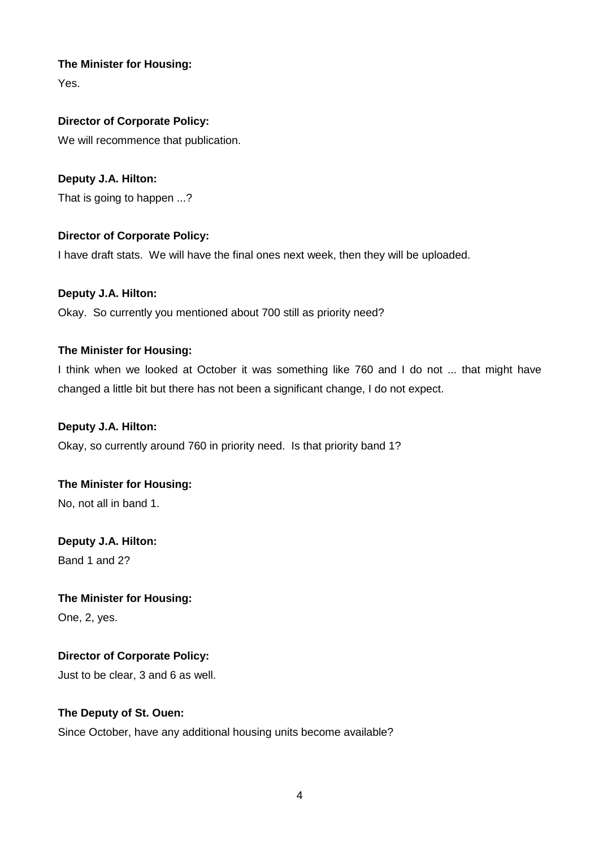Yes.

# **Director of Corporate Policy:**

We will recommence that publication.

# **Deputy J.A. Hilton:**

That is going to happen ...?

# **Director of Corporate Policy:**

I have draft stats. We will have the final ones next week, then they will be uploaded.

# **Deputy J.A. Hilton:**

Okay. So currently you mentioned about 700 still as priority need?

# **The Minister for Housing:**

I think when we looked at October it was something like 760 and I do not ... that might have changed a little bit but there has not been a significant change, I do not expect.

# **Deputy J.A. Hilton:**

Okay, so currently around 760 in priority need. Is that priority band 1?

# **The Minister for Housing:**

No, not all in band 1.

# **Deputy J.A. Hilton:** Band 1 and 2?

# **The Minister for Housing:**

One, 2, yes.

# **Director of Corporate Policy:**

Just to be clear, 3 and 6 as well.

# **The Deputy of St. Ouen:**

Since October, have any additional housing units become available?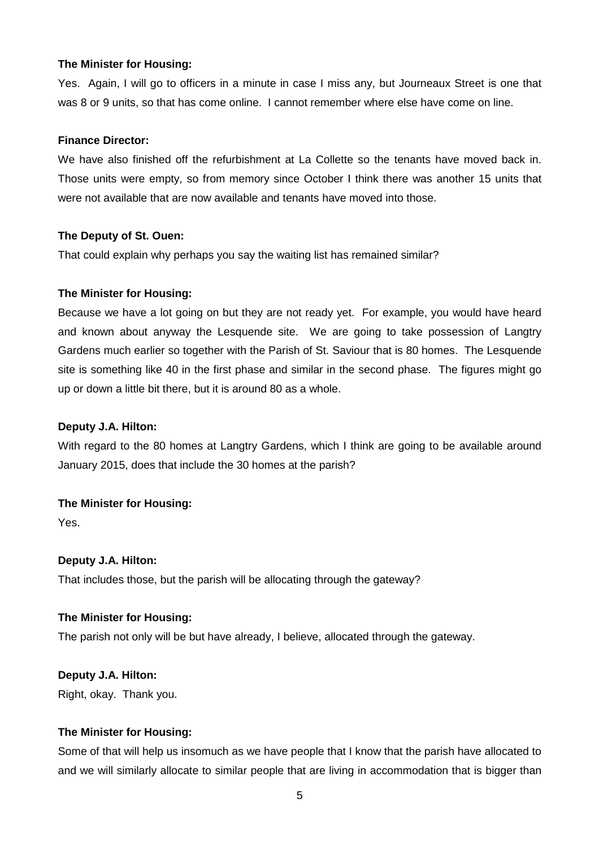Yes. Again, I will go to officers in a minute in case I miss any, but Journeaux Street is one that was 8 or 9 units, so that has come online. I cannot remember where else have come on line.

#### **Finance Director:**

We have also finished off the refurbishment at La Collette so the tenants have moved back in. Those units were empty, so from memory since October I think there was another 15 units that were not available that are now available and tenants have moved into those.

#### **The Deputy of St. Ouen:**

That could explain why perhaps you say the waiting list has remained similar?

#### **The Minister for Housing:**

Because we have a lot going on but they are not ready yet. For example, you would have heard and known about anyway the Lesquende site. We are going to take possession of Langtry Gardens much earlier so together with the Parish of St. Saviour that is 80 homes. The Lesquende site is something like 40 in the first phase and similar in the second phase. The figures might go up or down a little bit there, but it is around 80 as a whole.

# **Deputy J.A. Hilton:**

With regard to the 80 homes at Langtry Gardens, which I think are going to be available around January 2015, does that include the 30 homes at the parish?

# **The Minister for Housing:**

Yes.

# **Deputy J.A. Hilton:**

That includes those, but the parish will be allocating through the gateway?

#### **The Minister for Housing:**

The parish not only will be but have already, I believe, allocated through the gateway.

#### **Deputy J.A. Hilton:**

Right, okay. Thank you.

# **The Minister for Housing:**

Some of that will help us insomuch as we have people that I know that the parish have allocated to and we will similarly allocate to similar people that are living in accommodation that is bigger than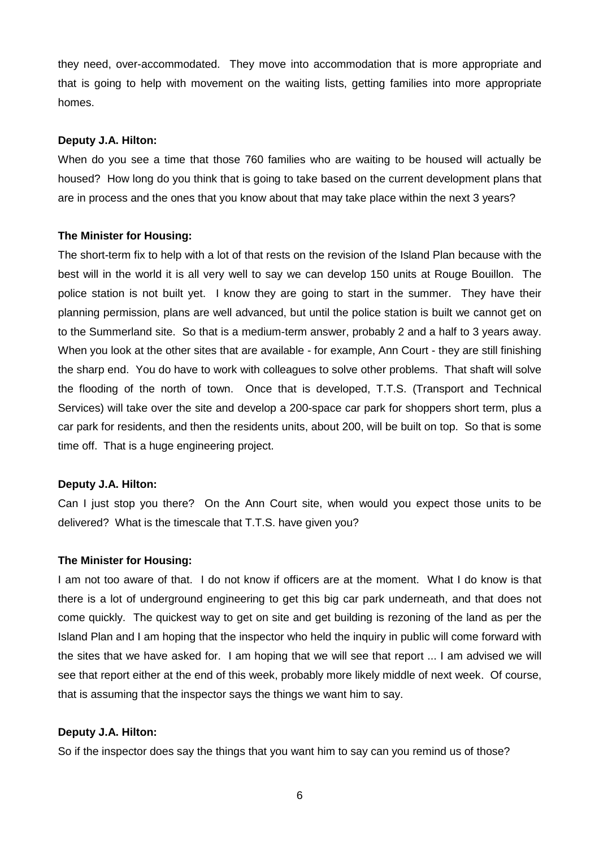they need, over-accommodated. They move into accommodation that is more appropriate and that is going to help with movement on the waiting lists, getting families into more appropriate homes.

#### **Deputy J.A. Hilton:**

When do you see a time that those 760 families who are waiting to be housed will actually be housed? How long do you think that is going to take based on the current development plans that are in process and the ones that you know about that may take place within the next 3 years?

#### **The Minister for Housing:**

The short-term fix to help with a lot of that rests on the revision of the Island Plan because with the best will in the world it is all very well to say we can develop 150 units at Rouge Bouillon. The police station is not built yet. I know they are going to start in the summer. They have their planning permission, plans are well advanced, but until the police station is built we cannot get on to the Summerland site. So that is a medium-term answer, probably 2 and a half to 3 years away. When you look at the other sites that are available - for example, Ann Court - they are still finishing the sharp end. You do have to work with colleagues to solve other problems. That shaft will solve the flooding of the north of town. Once that is developed, T.T.S. (Transport and Technical Services) will take over the site and develop a 200-space car park for shoppers short term, plus a car park for residents, and then the residents units, about 200, will be built on top. So that is some time off. That is a huge engineering project.

# **Deputy J.A. Hilton:**

Can I just stop you there? On the Ann Court site, when would you expect those units to be delivered? What is the timescale that T.T.S. have given you?

#### **The Minister for Housing:**

I am not too aware of that. I do not know if officers are at the moment. What I do know is that there is a lot of underground engineering to get this big car park underneath, and that does not come quickly. The quickest way to get on site and get building is rezoning of the land as per the Island Plan and I am hoping that the inspector who held the inquiry in public will come forward with the sites that we have asked for. I am hoping that we will see that report ... I am advised we will see that report either at the end of this week, probably more likely middle of next week. Of course, that is assuming that the inspector says the things we want him to say.

#### **Deputy J.A. Hilton:**

So if the inspector does say the things that you want him to say can you remind us of those?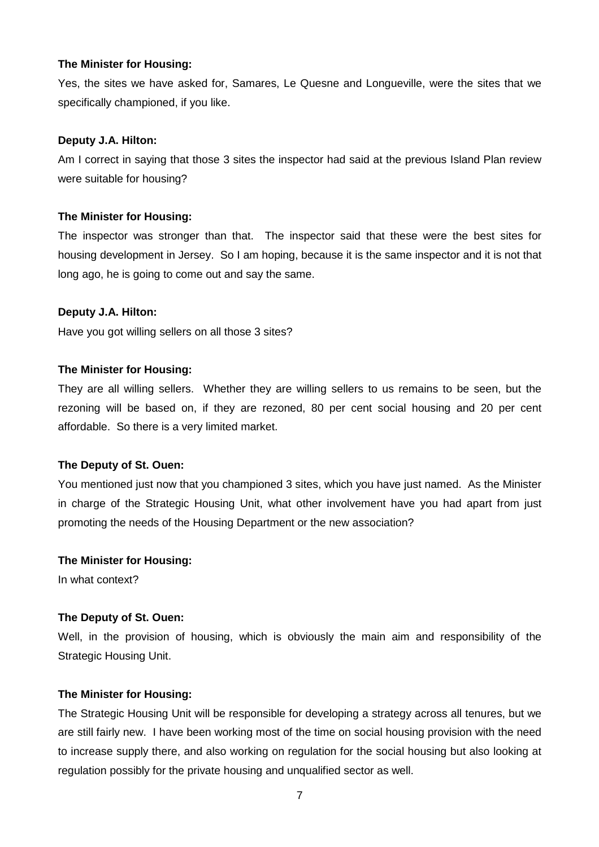Yes, the sites we have asked for, Samares, Le Quesne and Longueville, were the sites that we specifically championed, if you like.

### **Deputy J.A. Hilton:**

Am I correct in saying that those 3 sites the inspector had said at the previous Island Plan review were suitable for housing?

#### **The Minister for Housing:**

The inspector was stronger than that. The inspector said that these were the best sites for housing development in Jersey. So I am hoping, because it is the same inspector and it is not that long ago, he is going to come out and say the same.

#### **Deputy J.A. Hilton:**

Have you got willing sellers on all those 3 sites?

#### **The Minister for Housing:**

They are all willing sellers. Whether they are willing sellers to us remains to be seen, but the rezoning will be based on, if they are rezoned, 80 per cent social housing and 20 per cent affordable. So there is a very limited market.

#### **The Deputy of St. Ouen:**

You mentioned just now that you championed 3 sites, which you have just named. As the Minister in charge of the Strategic Housing Unit, what other involvement have you had apart from just promoting the needs of the Housing Department or the new association?

#### **The Minister for Housing:**

In what context?

# **The Deputy of St. Ouen:**

Well, in the provision of housing, which is obviously the main aim and responsibility of the Strategic Housing Unit.

# **The Minister for Housing:**

The Strategic Housing Unit will be responsible for developing a strategy across all tenures, but we are still fairly new. I have been working most of the time on social housing provision with the need to increase supply there, and also working on regulation for the social housing but also looking at regulation possibly for the private housing and unqualified sector as well.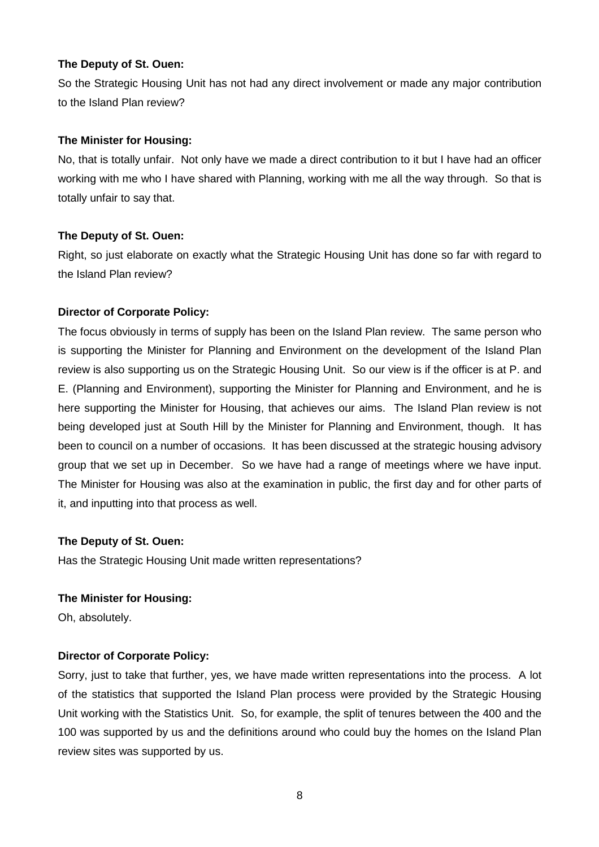So the Strategic Housing Unit has not had any direct involvement or made any major contribution to the Island Plan review?

#### **The Minister for Housing:**

No, that is totally unfair. Not only have we made a direct contribution to it but I have had an officer working with me who I have shared with Planning, working with me all the way through. So that is totally unfair to say that.

#### **The Deputy of St. Ouen:**

Right, so just elaborate on exactly what the Strategic Housing Unit has done so far with regard to the Island Plan review?

# **Director of Corporate Policy:**

The focus obviously in terms of supply has been on the Island Plan review. The same person who is supporting the Minister for Planning and Environment on the development of the Island Plan review is also supporting us on the Strategic Housing Unit. So our view is if the officer is at P. and E. (Planning and Environment), supporting the Minister for Planning and Environment, and he is here supporting the Minister for Housing, that achieves our aims. The Island Plan review is not being developed just at South Hill by the Minister for Planning and Environment, though. It has been to council on a number of occasions. It has been discussed at the strategic housing advisory group that we set up in December. So we have had a range of meetings where we have input. The Minister for Housing was also at the examination in public, the first day and for other parts of it, and inputting into that process as well.

# **The Deputy of St. Ouen:**

Has the Strategic Housing Unit made written representations?

# **The Minister for Housing:**

Oh, absolutely.

# **Director of Corporate Policy:**

Sorry, just to take that further, yes, we have made written representations into the process. A lot of the statistics that supported the Island Plan process were provided by the Strategic Housing Unit working with the Statistics Unit. So, for example, the split of tenures between the 400 and the 100 was supported by us and the definitions around who could buy the homes on the Island Plan review sites was supported by us.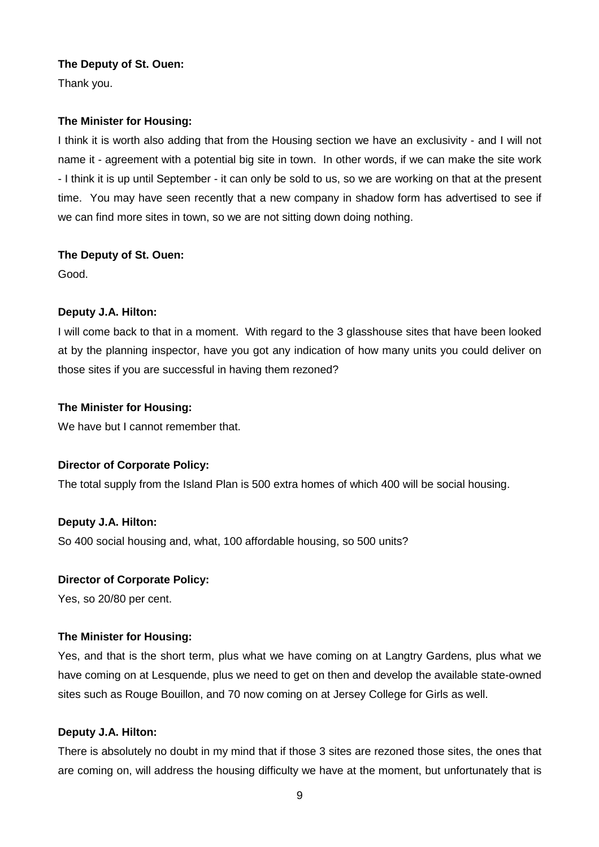Thank you.

# **The Minister for Housing:**

I think it is worth also adding that from the Housing section we have an exclusivity - and I will not name it - agreement with a potential big site in town. In other words, if we can make the site work - I think it is up until September - it can only be sold to us, so we are working on that at the present time. You may have seen recently that a new company in shadow form has advertised to see if we can find more sites in town, so we are not sitting down doing nothing.

# **The Deputy of St. Ouen:**

Good.

# **Deputy J.A. Hilton:**

I will come back to that in a moment. With regard to the 3 glasshouse sites that have been looked at by the planning inspector, have you got any indication of how many units you could deliver on those sites if you are successful in having them rezoned?

# **The Minister for Housing:**

We have but I cannot remember that.

# **Director of Corporate Policy:**

The total supply from the Island Plan is 500 extra homes of which 400 will be social housing.

# **Deputy J.A. Hilton:**

So 400 social housing and, what, 100 affordable housing, so 500 units?

# **Director of Corporate Policy:**

Yes, so 20/80 per cent.

# **The Minister for Housing:**

Yes, and that is the short term, plus what we have coming on at Langtry Gardens, plus what we have coming on at Lesquende, plus we need to get on then and develop the available state-owned sites such as Rouge Bouillon, and 70 now coming on at Jersey College for Girls as well.

# **Deputy J.A. Hilton:**

There is absolutely no doubt in my mind that if those 3 sites are rezoned those sites, the ones that are coming on, will address the housing difficulty we have at the moment, but unfortunately that is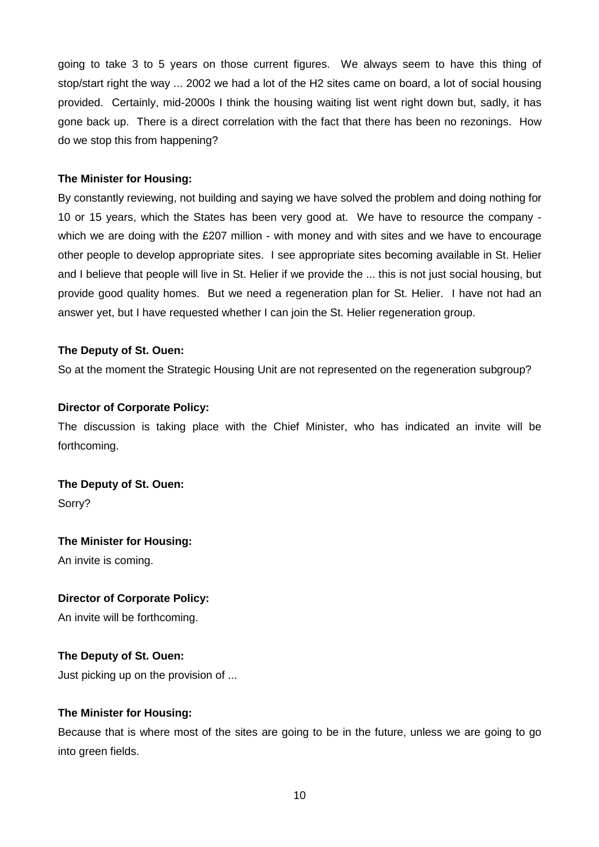going to take 3 to 5 years on those current figures. We always seem to have this thing of stop/start right the way ... 2002 we had a lot of the H2 sites came on board, a lot of social housing provided. Certainly, mid-2000s I think the housing waiting list went right down but, sadly, it has gone back up. There is a direct correlation with the fact that there has been no rezonings. How do we stop this from happening?

# **The Minister for Housing:**

By constantly reviewing, not building and saying we have solved the problem and doing nothing for 10 or 15 years, which the States has been very good at. We have to resource the company which we are doing with the £207 million - with money and with sites and we have to encourage other people to develop appropriate sites. I see appropriate sites becoming available in St. Helier and I believe that people will live in St. Helier if we provide the ... this is not just social housing, but provide good quality homes. But we need a regeneration plan for St. Helier. I have not had an answer yet, but I have requested whether I can join the St. Helier regeneration group.

# **The Deputy of St. Ouen:**

So at the moment the Strategic Housing Unit are not represented on the regeneration subgroup?

# **Director of Corporate Policy:**

The discussion is taking place with the Chief Minister, who has indicated an invite will be forthcoming.

**The Deputy of St. Ouen:** Sorry?

# **The Minister for Housing:**

An invite is coming.

# **Director of Corporate Policy:**

An invite will be forthcoming.

# **The Deputy of St. Ouen:**

Just picking up on the provision of ...

# **The Minister for Housing:**

Because that is where most of the sites are going to be in the future, unless we are going to go into green fields.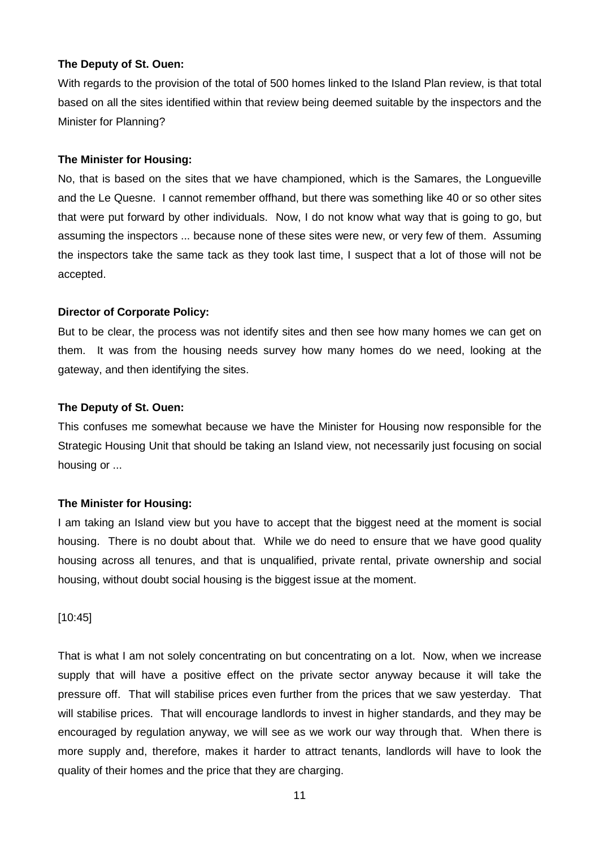With regards to the provision of the total of 500 homes linked to the Island Plan review, is that total based on all the sites identified within that review being deemed suitable by the inspectors and the Minister for Planning?

#### **The Minister for Housing:**

No, that is based on the sites that we have championed, which is the Samares, the Longueville and the Le Quesne. I cannot remember offhand, but there was something like 40 or so other sites that were put forward by other individuals. Now, I do not know what way that is going to go, but assuming the inspectors ... because none of these sites were new, or very few of them. Assuming the inspectors take the same tack as they took last time, I suspect that a lot of those will not be accepted.

# **Director of Corporate Policy:**

But to be clear, the process was not identify sites and then see how many homes we can get on them. It was from the housing needs survey how many homes do we need, looking at the gateway, and then identifying the sites.

#### **The Deputy of St. Ouen:**

This confuses me somewhat because we have the Minister for Housing now responsible for the Strategic Housing Unit that should be taking an Island view, not necessarily just focusing on social housing or ...

# **The Minister for Housing:**

I am taking an Island view but you have to accept that the biggest need at the moment is social housing. There is no doubt about that. While we do need to ensure that we have good quality housing across all tenures, and that is unqualified, private rental, private ownership and social housing, without doubt social housing is the biggest issue at the moment.

#### [10:45]

That is what I am not solely concentrating on but concentrating on a lot. Now, when we increase supply that will have a positive effect on the private sector anyway because it will take the pressure off. That will stabilise prices even further from the prices that we saw yesterday. That will stabilise prices. That will encourage landlords to invest in higher standards, and they may be encouraged by regulation anyway, we will see as we work our way through that. When there is more supply and, therefore, makes it harder to attract tenants, landlords will have to look the quality of their homes and the price that they are charging.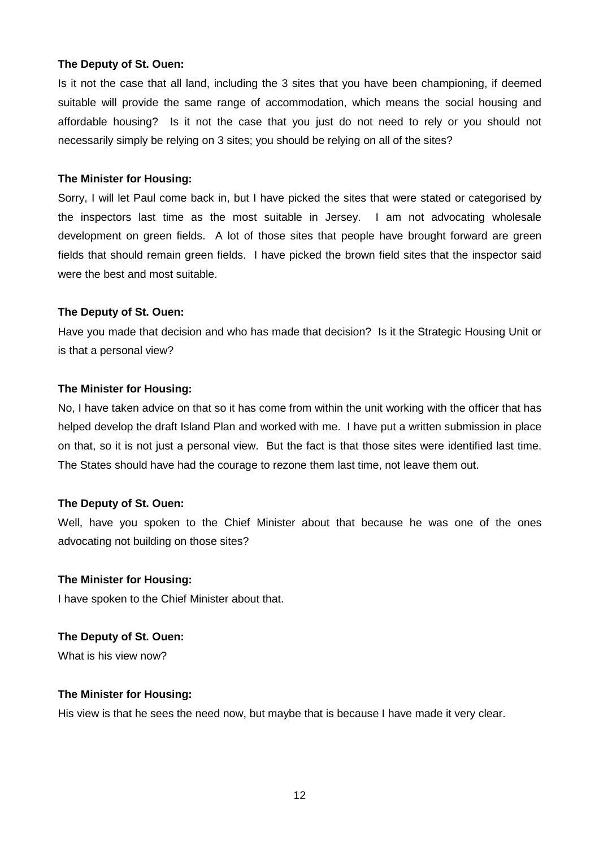Is it not the case that all land, including the 3 sites that you have been championing, if deemed suitable will provide the same range of accommodation, which means the social housing and affordable housing? Is it not the case that you just do not need to rely or you should not necessarily simply be relying on 3 sites; you should be relying on all of the sites?

#### **The Minister for Housing:**

Sorry, I will let Paul come back in, but I have picked the sites that were stated or categorised by the inspectors last time as the most suitable in Jersey. I am not advocating wholesale development on green fields. A lot of those sites that people have brought forward are green fields that should remain green fields. I have picked the brown field sites that the inspector said were the best and most suitable.

#### **The Deputy of St. Ouen:**

Have you made that decision and who has made that decision? Is it the Strategic Housing Unit or is that a personal view?

#### **The Minister for Housing:**

No, I have taken advice on that so it has come from within the unit working with the officer that has helped develop the draft Island Plan and worked with me. I have put a written submission in place on that, so it is not just a personal view. But the fact is that those sites were identified last time. The States should have had the courage to rezone them last time, not leave them out.

# **The Deputy of St. Ouen:**

Well, have you spoken to the Chief Minister about that because he was one of the ones advocating not building on those sites?

#### **The Minister for Housing:**

I have spoken to the Chief Minister about that.

# **The Deputy of St. Ouen:**

What is his view now?

# **The Minister for Housing:**

His view is that he sees the need now, but maybe that is because I have made it very clear.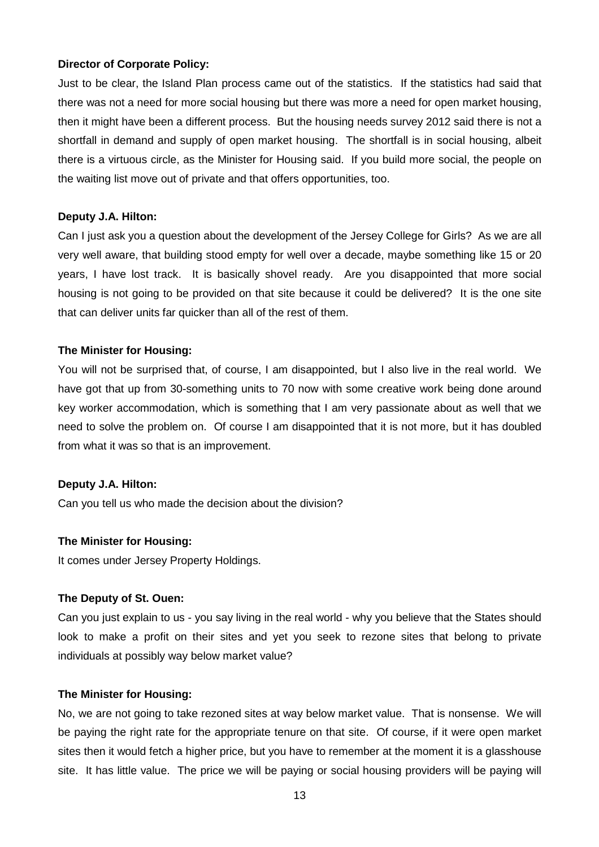#### **Director of Corporate Policy:**

Just to be clear, the Island Plan process came out of the statistics. If the statistics had said that there was not a need for more social housing but there was more a need for open market housing, then it might have been a different process. But the housing needs survey 2012 said there is not a shortfall in demand and supply of open market housing. The shortfall is in social housing, albeit there is a virtuous circle, as the Minister for Housing said. If you build more social, the people on the waiting list move out of private and that offers opportunities, too.

#### **Deputy J.A. Hilton:**

Can I just ask you a question about the development of the Jersey College for Girls? As we are all very well aware, that building stood empty for well over a decade, maybe something like 15 or 20 years, I have lost track. It is basically shovel ready. Are you disappointed that more social housing is not going to be provided on that site because it could be delivered? It is the one site that can deliver units far quicker than all of the rest of them.

#### **The Minister for Housing:**

You will not be surprised that, of course, I am disappointed, but I also live in the real world. We have got that up from 30-something units to 70 now with some creative work being done around key worker accommodation, which is something that I am very passionate about as well that we need to solve the problem on. Of course I am disappointed that it is not more, but it has doubled from what it was so that is an improvement.

#### **Deputy J.A. Hilton:**

Can you tell us who made the decision about the division?

# **The Minister for Housing:**

It comes under Jersey Property Holdings.

#### **The Deputy of St. Ouen:**

Can you just explain to us - you say living in the real world - why you believe that the States should look to make a profit on their sites and yet you seek to rezone sites that belong to private individuals at possibly way below market value?

#### **The Minister for Housing:**

No, we are not going to take rezoned sites at way below market value. That is nonsense. We will be paying the right rate for the appropriate tenure on that site. Of course, if it were open market sites then it would fetch a higher price, but you have to remember at the moment it is a glasshouse site. It has little value. The price we will be paying or social housing providers will be paying will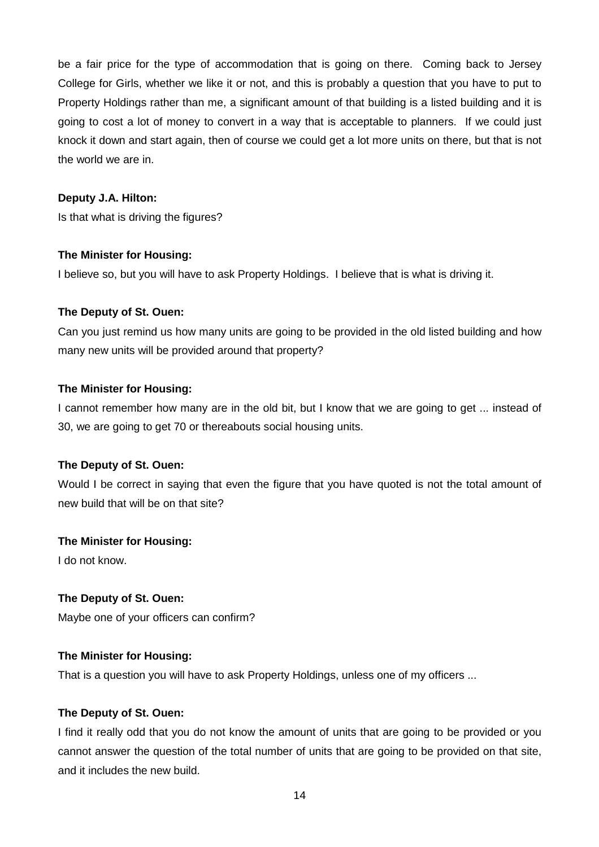be a fair price for the type of accommodation that is going on there. Coming back to Jersey College for Girls, whether we like it or not, and this is probably a question that you have to put to Property Holdings rather than me, a significant amount of that building is a listed building and it is going to cost a lot of money to convert in a way that is acceptable to planners. If we could just knock it down and start again, then of course we could get a lot more units on there, but that is not the world we are in.

# **Deputy J.A. Hilton:**

Is that what is driving the figures?

# **The Minister for Housing:**

I believe so, but you will have to ask Property Holdings. I believe that is what is driving it.

# **The Deputy of St. Ouen:**

Can you just remind us how many units are going to be provided in the old listed building and how many new units will be provided around that property?

# **The Minister for Housing:**

I cannot remember how many are in the old bit, but I know that we are going to get ... instead of 30, we are going to get 70 or thereabouts social housing units.

# **The Deputy of St. Ouen:**

Would I be correct in saying that even the figure that you have quoted is not the total amount of new build that will be on that site?

# **The Minister for Housing:**

I do not know.

# **The Deputy of St. Ouen:**

Maybe one of your officers can confirm?

# **The Minister for Housing:**

That is a question you will have to ask Property Holdings, unless one of my officers ...

# **The Deputy of St. Ouen:**

I find it really odd that you do not know the amount of units that are going to be provided or you cannot answer the question of the total number of units that are going to be provided on that site, and it includes the new build.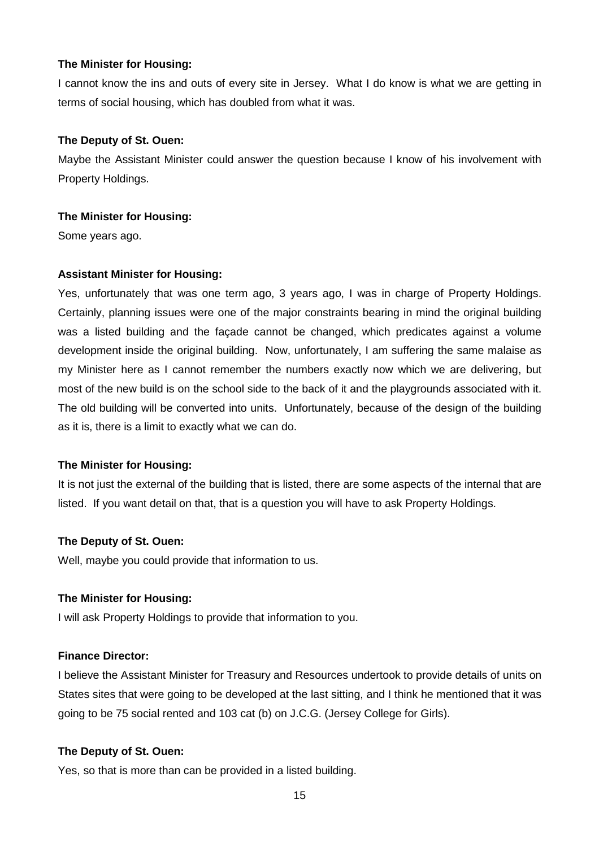I cannot know the ins and outs of every site in Jersey. What I do know is what we are getting in terms of social housing, which has doubled from what it was.

### **The Deputy of St. Ouen:**

Maybe the Assistant Minister could answer the question because I know of his involvement with Property Holdings.

#### **The Minister for Housing:**

Some years ago.

# **Assistant Minister for Housing:**

Yes, unfortunately that was one term ago, 3 years ago, I was in charge of Property Holdings. Certainly, planning issues were one of the major constraints bearing in mind the original building was a listed building and the façade cannot be changed, which predicates against a volume development inside the original building. Now, unfortunately, I am suffering the same malaise as my Minister here as I cannot remember the numbers exactly now which we are delivering, but most of the new build is on the school side to the back of it and the playgrounds associated with it. The old building will be converted into units. Unfortunately, because of the design of the building as it is, there is a limit to exactly what we can do.

# **The Minister for Housing:**

It is not just the external of the building that is listed, there are some aspects of the internal that are listed. If you want detail on that, that is a question you will have to ask Property Holdings.

# **The Deputy of St. Ouen:**

Well, maybe you could provide that information to us.

#### **The Minister for Housing:**

I will ask Property Holdings to provide that information to you.

# **Finance Director:**

I believe the Assistant Minister for Treasury and Resources undertook to provide details of units on States sites that were going to be developed at the last sitting, and I think he mentioned that it was going to be 75 social rented and 103 cat (b) on J.C.G. (Jersey College for Girls).

# **The Deputy of St. Ouen:**

Yes, so that is more than can be provided in a listed building.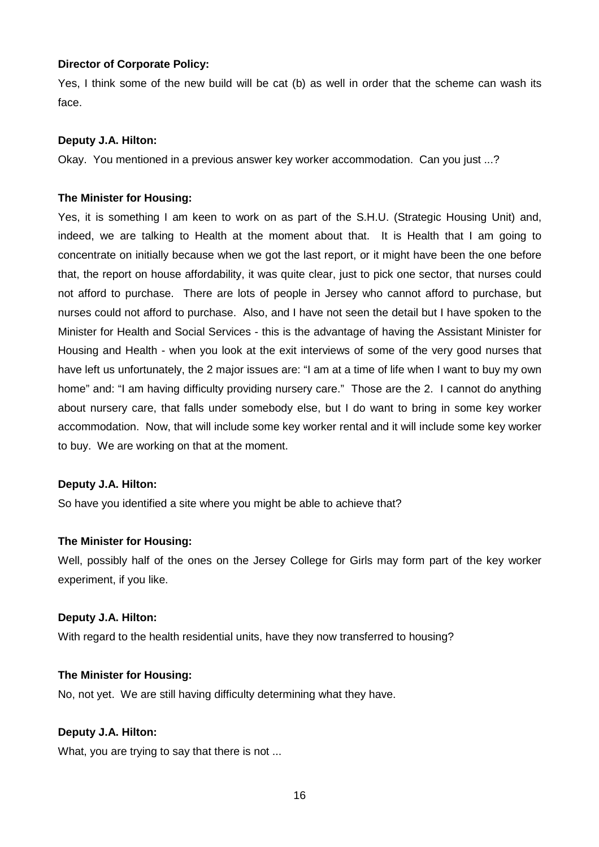### **Director of Corporate Policy:**

Yes, I think some of the new build will be cat (b) as well in order that the scheme can wash its face.

#### **Deputy J.A. Hilton:**

Okay. You mentioned in a previous answer key worker accommodation. Can you just ...?

#### **The Minister for Housing:**

Yes, it is something I am keen to work on as part of the S.H.U. (Strategic Housing Unit) and, indeed, we are talking to Health at the moment about that. It is Health that I am going to concentrate on initially because when we got the last report, or it might have been the one before that, the report on house affordability, it was quite clear, just to pick one sector, that nurses could not afford to purchase. There are lots of people in Jersey who cannot afford to purchase, but nurses could not afford to purchase. Also, and I have not seen the detail but I have spoken to the Minister for Health and Social Services - this is the advantage of having the Assistant Minister for Housing and Health - when you look at the exit interviews of some of the very good nurses that have left us unfortunately, the 2 major issues are: "I am at a time of life when I want to buy my own home" and: "I am having difficulty providing nursery care." Those are the 2. I cannot do anything about nursery care, that falls under somebody else, but I do want to bring in some key worker accommodation. Now, that will include some key worker rental and it will include some key worker to buy. We are working on that at the moment.

#### **Deputy J.A. Hilton:**

So have you identified a site where you might be able to achieve that?

#### **The Minister for Housing:**

Well, possibly half of the ones on the Jersey College for Girls may form part of the key worker experiment, if you like.

#### **Deputy J.A. Hilton:**

With regard to the health residential units, have they now transferred to housing?

#### **The Minister for Housing:**

No, not yet. We are still having difficulty determining what they have.

# **Deputy J.A. Hilton:**

What, you are trying to say that there is not ...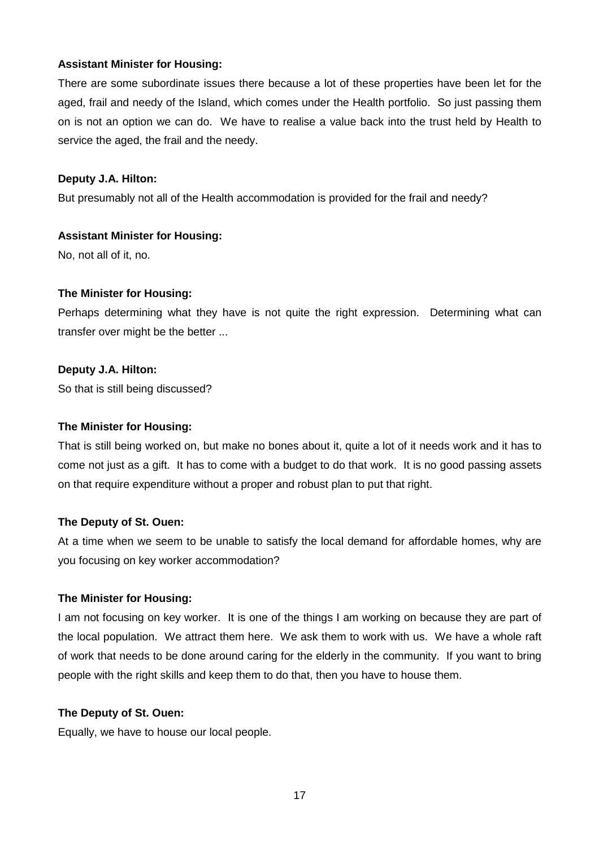# **Assistant Minister for Housing:**

There are some subordinate issues there because a lot of these properties have been let for the aged, frail and needy of the Island, which comes under the Health portfolio. So just passing them on is not an option we can do. We have to realise a value back into the trust held by Health to service the aged, the frail and the needy.

# **Deputy J.A. Hilton:**

But presumably not all of the Health accommodation is provided for the frail and needy?

#### **Assistant Minister for Housing:**

No, not all of it, no.

#### **The Minister for Housing:**

Perhaps determining what they have is not quite the right expression. Determining what can transfer over might be the better ...

#### **Deputy J.A. Hilton:**

So that is still being discussed?

#### **The Minister for Housing:**

That is still being worked on, but make no bones about it, quite a lot of it needs work and it has to come not just as a gift. It has to come with a budget to do that work. It is no good passing assets on that require expenditure without a proper and robust plan to put that right.

#### **The Deputy of St. Ouen:**

At a time when we seem to be unable to satisfy the local demand for affordable homes, why are you focusing on key worker accommodation?

#### **The Minister for Housing:**

I am not focusing on key worker. It is one of the things I am working on because they are part of the local population. We attract them here. We ask them to work with us. We have a whole raft of work that needs to be done around caring for the elderly in the community. If you want to bring people with the right skills and keep them to do that, then you have to house them.

#### **The Deputy of St. Ouen:**

Equally, we have to house our local people.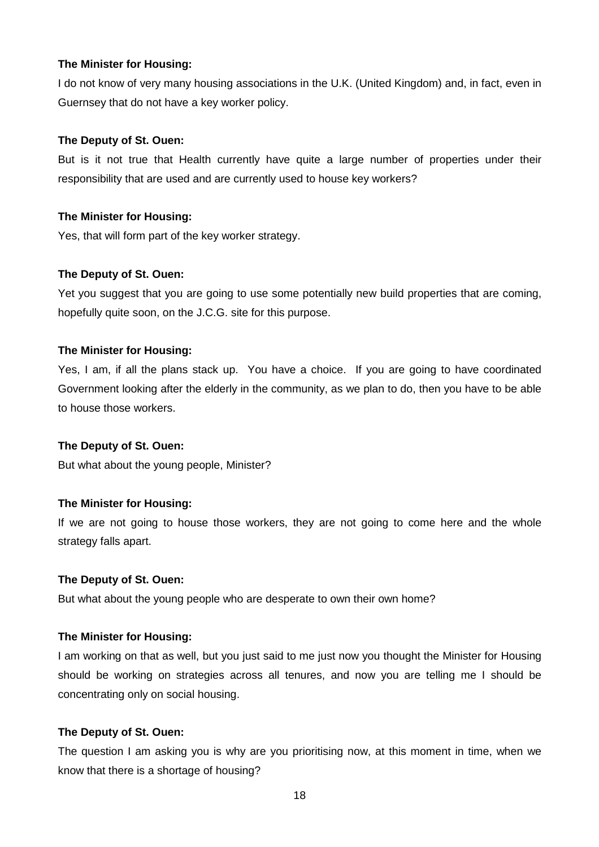I do not know of very many housing associations in the U.K. (United Kingdom) and, in fact, even in Guernsey that do not have a key worker policy.

### **The Deputy of St. Ouen:**

But is it not true that Health currently have quite a large number of properties under their responsibility that are used and are currently used to house key workers?

#### **The Minister for Housing:**

Yes, that will form part of the key worker strategy.

#### **The Deputy of St. Ouen:**

Yet you suggest that you are going to use some potentially new build properties that are coming, hopefully quite soon, on the J.C.G. site for this purpose.

#### **The Minister for Housing:**

Yes, I am, if all the plans stack up. You have a choice. If you are going to have coordinated Government looking after the elderly in the community, as we plan to do, then you have to be able to house those workers.

#### **The Deputy of St. Ouen:**

But what about the young people, Minister?

# **The Minister for Housing:**

If we are not going to house those workers, they are not going to come here and the whole strategy falls apart.

#### **The Deputy of St. Ouen:**

But what about the young people who are desperate to own their own home?

#### **The Minister for Housing:**

I am working on that as well, but you just said to me just now you thought the Minister for Housing should be working on strategies across all tenures, and now you are telling me I should be concentrating only on social housing.

#### **The Deputy of St. Ouen:**

The question I am asking you is why are you prioritising now, at this moment in time, when we know that there is a shortage of housing?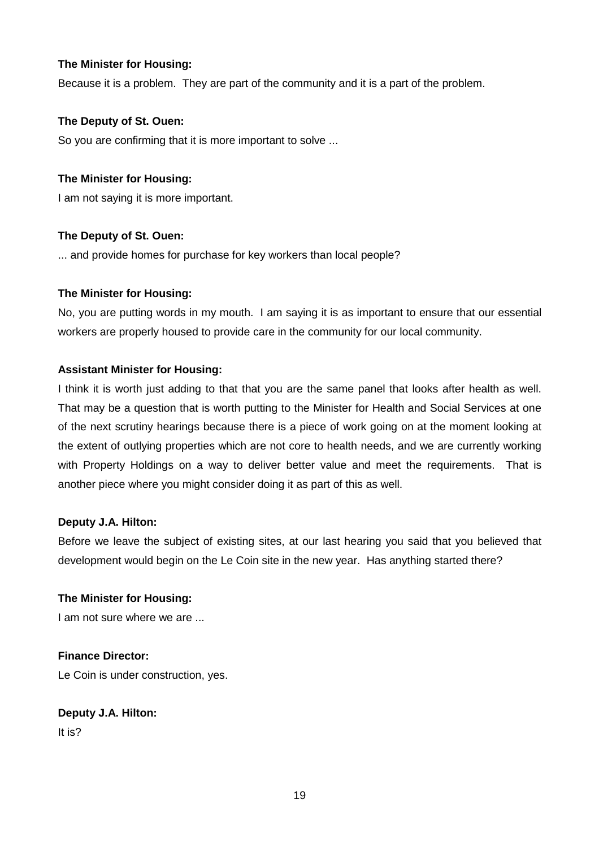Because it is a problem. They are part of the community and it is a part of the problem.

# **The Deputy of St. Ouen:**

So you are confirming that it is more important to solve ...

# **The Minister for Housing:**

I am not saying it is more important.

# **The Deputy of St. Ouen:**

... and provide homes for purchase for key workers than local people?

# **The Minister for Housing:**

No, you are putting words in my mouth. I am saying it is as important to ensure that our essential workers are properly housed to provide care in the community for our local community.

# **Assistant Minister for Housing:**

I think it is worth just adding to that that you are the same panel that looks after health as well. That may be a question that is worth putting to the Minister for Health and Social Services at one of the next scrutiny hearings because there is a piece of work going on at the moment looking at the extent of outlying properties which are not core to health needs, and we are currently working with Property Holdings on a way to deliver better value and meet the requirements. That is another piece where you might consider doing it as part of this as well.

# **Deputy J.A. Hilton:**

Before we leave the subject of existing sites, at our last hearing you said that you believed that development would begin on the Le Coin site in the new year. Has anything started there?

# **The Minister for Housing:**

I am not sure where we are ...

# **Finance Director:**

Le Coin is under construction, yes.

# **Deputy J.A. Hilton:**

It is?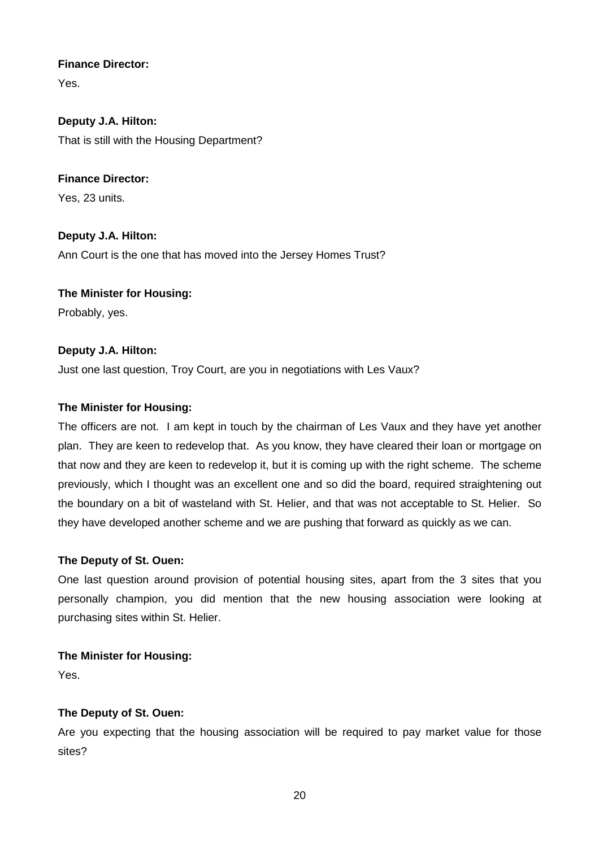# **Finance Director:**

Yes.

**Deputy J.A. Hilton:** That is still with the Housing Department?

**Finance Director:** Yes, 23 units.

**Deputy J.A. Hilton:** Ann Court is the one that has moved into the Jersey Homes Trust?

**The Minister for Housing:** Probably, yes.

# **Deputy J.A. Hilton:**

Just one last question, Troy Court, are you in negotiations with Les Vaux?

# **The Minister for Housing:**

The officers are not. I am kept in touch by the chairman of Les Vaux and they have yet another plan. They are keen to redevelop that. As you know, they have cleared their loan or mortgage on that now and they are keen to redevelop it, but it is coming up with the right scheme. The scheme previously, which I thought was an excellent one and so did the board, required straightening out the boundary on a bit of wasteland with St. Helier, and that was not acceptable to St. Helier. So they have developed another scheme and we are pushing that forward as quickly as we can.

# **The Deputy of St. Ouen:**

One last question around provision of potential housing sites, apart from the 3 sites that you personally champion, you did mention that the new housing association were looking at purchasing sites within St. Helier.

# **The Minister for Housing:**

Yes.

# **The Deputy of St. Ouen:**

Are you expecting that the housing association will be required to pay market value for those sites?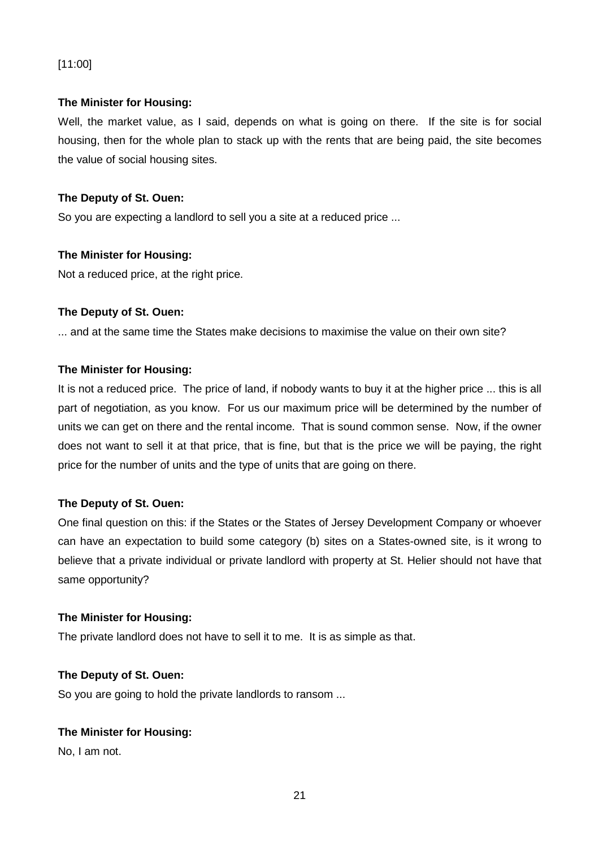# [11:00]

# **The Minister for Housing:**

Well, the market value, as I said, depends on what is going on there. If the site is for social housing, then for the whole plan to stack up with the rents that are being paid, the site becomes the value of social housing sites.

# **The Deputy of St. Ouen:**

So you are expecting a landlord to sell you a site at a reduced price ...

# **The Minister for Housing:**

Not a reduced price, at the right price.

# **The Deputy of St. Ouen:**

... and at the same time the States make decisions to maximise the value on their own site?

# **The Minister for Housing:**

It is not a reduced price. The price of land, if nobody wants to buy it at the higher price ... this is all part of negotiation, as you know. For us our maximum price will be determined by the number of units we can get on there and the rental income. That is sound common sense. Now, if the owner does not want to sell it at that price, that is fine, but that is the price we will be paying, the right price for the number of units and the type of units that are going on there.

# **The Deputy of St. Ouen:**

One final question on this: if the States or the States of Jersey Development Company or whoever can have an expectation to build some category (b) sites on a States-owned site, is it wrong to believe that a private individual or private landlord with property at St. Helier should not have that same opportunity?

# **The Minister for Housing:**

The private landlord does not have to sell it to me. It is as simple as that.

# **The Deputy of St. Ouen:**

So you are going to hold the private landlords to ransom ...

# **The Minister for Housing:**

No, I am not.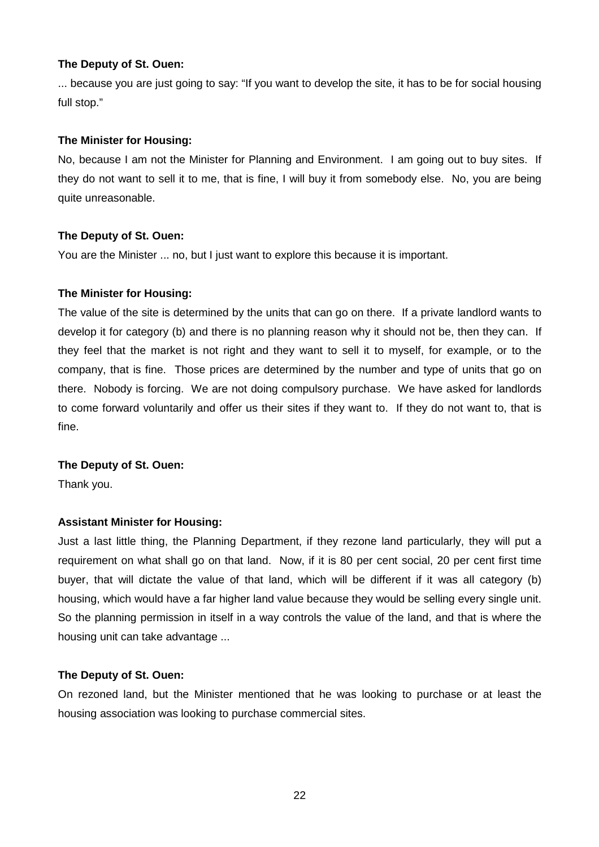... because you are just going to say: "If you want to develop the site, it has to be for social housing full stop."

### **The Minister for Housing:**

No, because I am not the Minister for Planning and Environment. I am going out to buy sites. If they do not want to sell it to me, that is fine, I will buy it from somebody else. No, you are being quite unreasonable.

### **The Deputy of St. Ouen:**

You are the Minister ... no, but I just want to explore this because it is important.

#### **The Minister for Housing:**

The value of the site is determined by the units that can go on there. If a private landlord wants to develop it for category (b) and there is no planning reason why it should not be, then they can. If they feel that the market is not right and they want to sell it to myself, for example, or to the company, that is fine. Those prices are determined by the number and type of units that go on there. Nobody is forcing. We are not doing compulsory purchase. We have asked for landlords to come forward voluntarily and offer us their sites if they want to. If they do not want to, that is fine.

#### **The Deputy of St. Ouen:**

Thank you.

# **Assistant Minister for Housing:**

Just a last little thing, the Planning Department, if they rezone land particularly, they will put a requirement on what shall go on that land. Now, if it is 80 per cent social, 20 per cent first time buyer, that will dictate the value of that land, which will be different if it was all category (b) housing, which would have a far higher land value because they would be selling every single unit. So the planning permission in itself in a way controls the value of the land, and that is where the housing unit can take advantage ...

#### **The Deputy of St. Ouen:**

On rezoned land, but the Minister mentioned that he was looking to purchase or at least the housing association was looking to purchase commercial sites.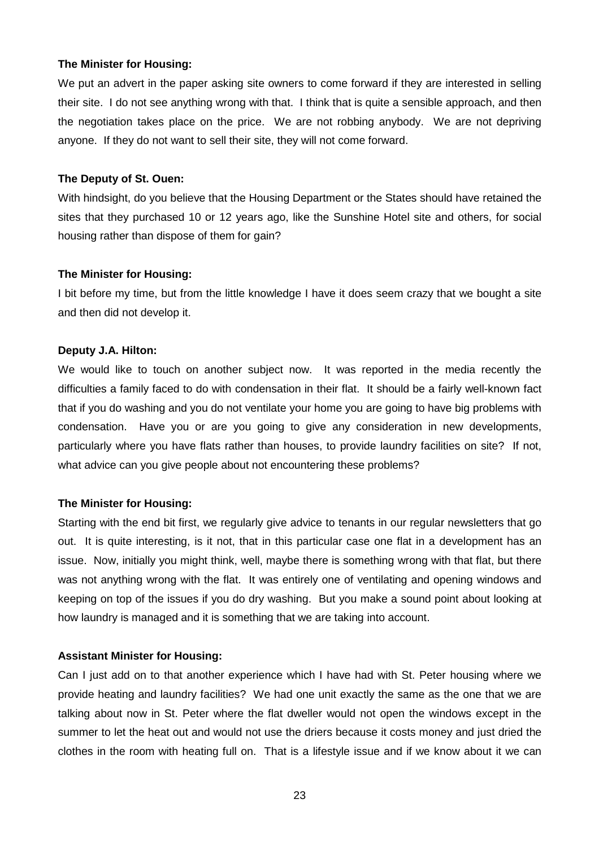We put an advert in the paper asking site owners to come forward if they are interested in selling their site. I do not see anything wrong with that. I think that is quite a sensible approach, and then the negotiation takes place on the price. We are not robbing anybody. We are not depriving anyone. If they do not want to sell their site, they will not come forward.

#### **The Deputy of St. Ouen:**

With hindsight, do you believe that the Housing Department or the States should have retained the sites that they purchased 10 or 12 years ago, like the Sunshine Hotel site and others, for social housing rather than dispose of them for gain?

#### **The Minister for Housing:**

I bit before my time, but from the little knowledge I have it does seem crazy that we bought a site and then did not develop it.

#### **Deputy J.A. Hilton:**

We would like to touch on another subject now. It was reported in the media recently the difficulties a family faced to do with condensation in their flat. It should be a fairly well-known fact that if you do washing and you do not ventilate your home you are going to have big problems with condensation. Have you or are you going to give any consideration in new developments, particularly where you have flats rather than houses, to provide laundry facilities on site? If not, what advice can you give people about not encountering these problems?

# **The Minister for Housing:**

Starting with the end bit first, we regularly give advice to tenants in our regular newsletters that go out. It is quite interesting, is it not, that in this particular case one flat in a development has an issue. Now, initially you might think, well, maybe there is something wrong with that flat, but there was not anything wrong with the flat. It was entirely one of ventilating and opening windows and keeping on top of the issues if you do dry washing. But you make a sound point about looking at how laundry is managed and it is something that we are taking into account.

# **Assistant Minister for Housing:**

Can I just add on to that another experience which I have had with St. Peter housing where we provide heating and laundry facilities? We had one unit exactly the same as the one that we are talking about now in St. Peter where the flat dweller would not open the windows except in the summer to let the heat out and would not use the driers because it costs money and just dried the clothes in the room with heating full on. That is a lifestyle issue and if we know about it we can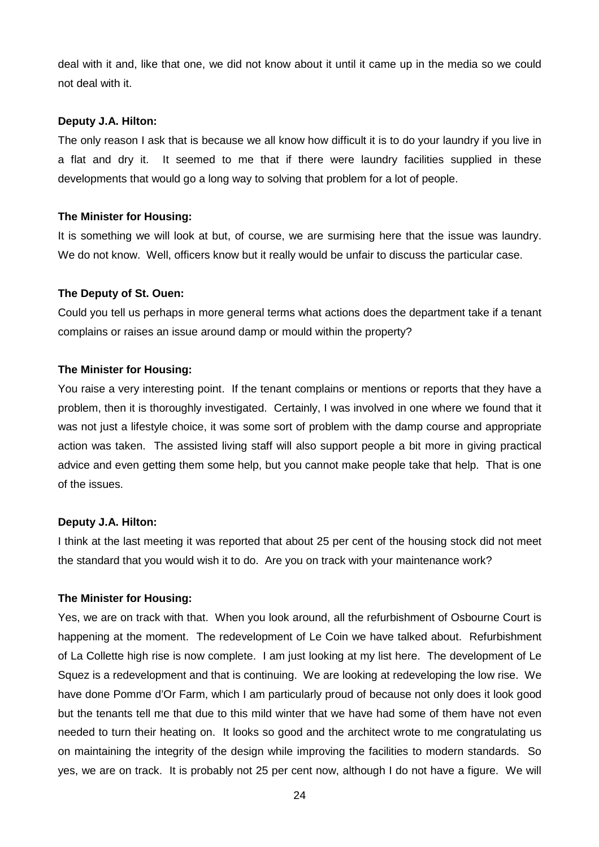deal with it and, like that one, we did not know about it until it came up in the media so we could not deal with it.

#### **Deputy J.A. Hilton:**

The only reason I ask that is because we all know how difficult it is to do your laundry if you live in a flat and dry it. It seemed to me that if there were laundry facilities supplied in these developments that would go a long way to solving that problem for a lot of people.

#### **The Minister for Housing:**

It is something we will look at but, of course, we are surmising here that the issue was laundry. We do not know. Well, officers know but it really would be unfair to discuss the particular case.

#### **The Deputy of St. Ouen:**

Could you tell us perhaps in more general terms what actions does the department take if a tenant complains or raises an issue around damp or mould within the property?

#### **The Minister for Housing:**

You raise a very interesting point. If the tenant complains or mentions or reports that they have a problem, then it is thoroughly investigated. Certainly, I was involved in one where we found that it was not just a lifestyle choice, it was some sort of problem with the damp course and appropriate action was taken. The assisted living staff will also support people a bit more in giving practical advice and even getting them some help, but you cannot make people take that help. That is one of the issues.

#### **Deputy J.A. Hilton:**

I think at the last meeting it was reported that about 25 per cent of the housing stock did not meet the standard that you would wish it to do. Are you on track with your maintenance work?

#### **The Minister for Housing:**

Yes, we are on track with that. When you look around, all the refurbishment of Osbourne Court is happening at the moment. The redevelopment of Le Coin we have talked about. Refurbishment of La Collette high rise is now complete. I am just looking at my list here. The development of Le Squez is a redevelopment and that is continuing. We are looking at redeveloping the low rise. We have done Pomme d'Or Farm, which I am particularly proud of because not only does it look good but the tenants tell me that due to this mild winter that we have had some of them have not even needed to turn their heating on. It looks so good and the architect wrote to me congratulating us on maintaining the integrity of the design while improving the facilities to modern standards. So yes, we are on track. It is probably not 25 per cent now, although I do not have a figure. We will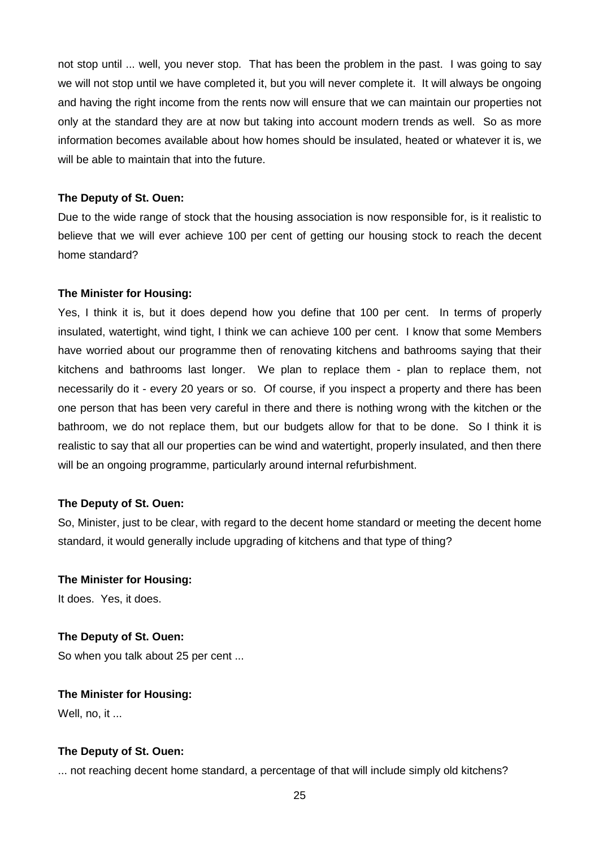not stop until ... well, you never stop. That has been the problem in the past. I was going to say we will not stop until we have completed it, but you will never complete it. It will always be ongoing and having the right income from the rents now will ensure that we can maintain our properties not only at the standard they are at now but taking into account modern trends as well. So as more information becomes available about how homes should be insulated, heated or whatever it is, we will be able to maintain that into the future.

#### **The Deputy of St. Ouen:**

Due to the wide range of stock that the housing association is now responsible for, is it realistic to believe that we will ever achieve 100 per cent of getting our housing stock to reach the decent home standard?

#### **The Minister for Housing:**

Yes, I think it is, but it does depend how you define that 100 per cent. In terms of properly insulated, watertight, wind tight, I think we can achieve 100 per cent. I know that some Members have worried about our programme then of renovating kitchens and bathrooms saying that their kitchens and bathrooms last longer. We plan to replace them - plan to replace them, not necessarily do it - every 20 years or so. Of course, if you inspect a property and there has been one person that has been very careful in there and there is nothing wrong with the kitchen or the bathroom, we do not replace them, but our budgets allow for that to be done. So I think it is realistic to say that all our properties can be wind and watertight, properly insulated, and then there will be an ongoing programme, particularly around internal refurbishment.

#### **The Deputy of St. Ouen:**

So, Minister, just to be clear, with regard to the decent home standard or meeting the decent home standard, it would generally include upgrading of kitchens and that type of thing?

#### **The Minister for Housing:**

It does. Yes, it does.

#### **The Deputy of St. Ouen:**

So when you talk about 25 per cent ...

# **The Minister for Housing:**

Well, no, it ...

# **The Deputy of St. Ouen:**

... not reaching decent home standard, a percentage of that will include simply old kitchens?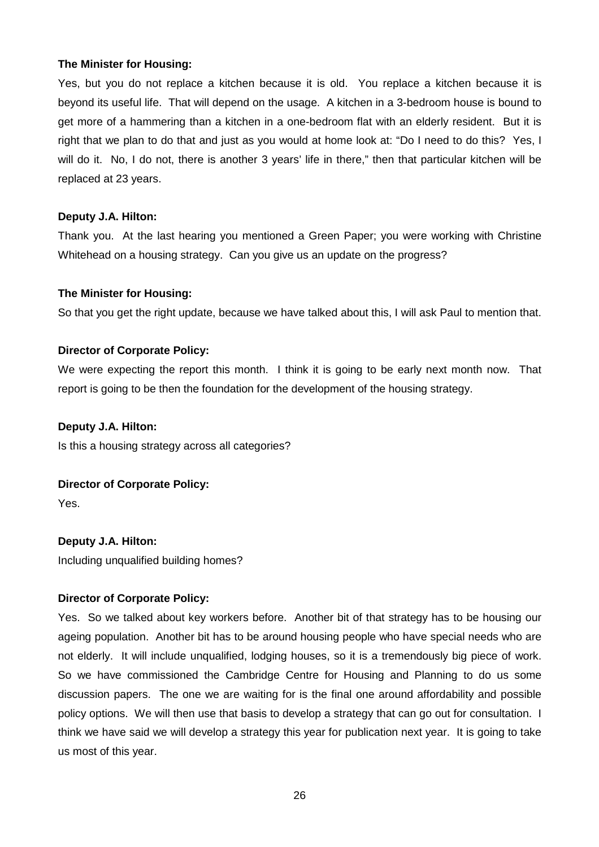Yes, but you do not replace a kitchen because it is old. You replace a kitchen because it is beyond its useful life. That will depend on the usage. A kitchen in a 3-bedroom house is bound to get more of a hammering than a kitchen in a one-bedroom flat with an elderly resident. But it is right that we plan to do that and just as you would at home look at: "Do I need to do this? Yes, I will do it. No, I do not, there is another 3 years' life in there," then that particular kitchen will be replaced at 23 years.

#### **Deputy J.A. Hilton:**

Thank you. At the last hearing you mentioned a Green Paper; you were working with Christine Whitehead on a housing strategy. Can you give us an update on the progress?

#### **The Minister for Housing:**

So that you get the right update, because we have talked about this, I will ask Paul to mention that.

#### **Director of Corporate Policy:**

We were expecting the report this month. I think it is going to be early next month now. That report is going to be then the foundation for the development of the housing strategy.

### **Deputy J.A. Hilton:**

Is this a housing strategy across all categories?

# **Director of Corporate Policy:**

Yes.

**Deputy J.A. Hilton:** Including unqualified building homes?

#### **Director of Corporate Policy:**

Yes. So we talked about key workers before. Another bit of that strategy has to be housing our ageing population. Another bit has to be around housing people who have special needs who are not elderly. It will include unqualified, lodging houses, so it is a tremendously big piece of work. So we have commissioned the Cambridge Centre for Housing and Planning to do us some discussion papers. The one we are waiting for is the final one around affordability and possible policy options. We will then use that basis to develop a strategy that can go out for consultation. I think we have said we will develop a strategy this year for publication next year. It is going to take us most of this year.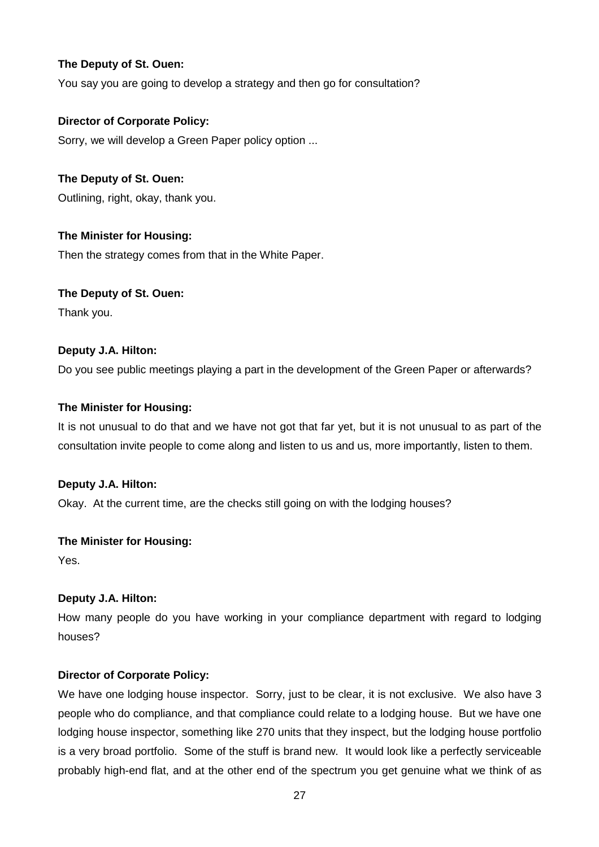You say you are going to develop a strategy and then go for consultation?

# **Director of Corporate Policy:**

Sorry, we will develop a Green Paper policy option ...

# **The Deputy of St. Ouen:**

Outlining, right, okay, thank you.

# **The Minister for Housing:**

Then the strategy comes from that in the White Paper.

# **The Deputy of St. Ouen:**

Thank you.

# **Deputy J.A. Hilton:**

Do you see public meetings playing a part in the development of the Green Paper or afterwards?

# **The Minister for Housing:**

It is not unusual to do that and we have not got that far yet, but it is not unusual to as part of the consultation invite people to come along and listen to us and us, more importantly, listen to them.

# **Deputy J.A. Hilton:**

Okay. At the current time, are the checks still going on with the lodging houses?

# **The Minister for Housing:**

Yes.

# **Deputy J.A. Hilton:**

How many people do you have working in your compliance department with regard to lodging houses?

# **Director of Corporate Policy:**

We have one lodging house inspector. Sorry, just to be clear, it is not exclusive. We also have 3 people who do compliance, and that compliance could relate to a lodging house. But we have one lodging house inspector, something like 270 units that they inspect, but the lodging house portfolio is a very broad portfolio. Some of the stuff is brand new. It would look like a perfectly serviceable probably high-end flat, and at the other end of the spectrum you get genuine what we think of as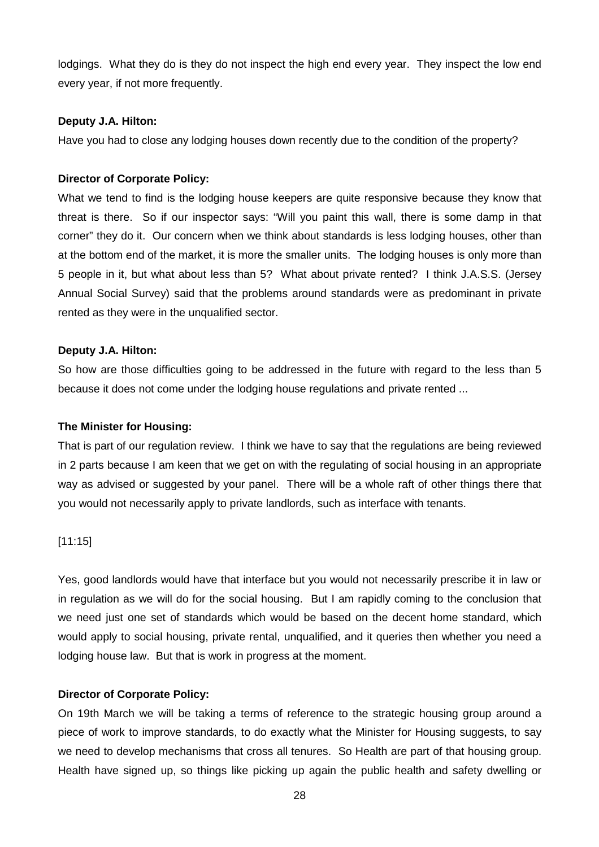lodgings. What they do is they do not inspect the high end every year. They inspect the low end every year, if not more frequently.

### **Deputy J.A. Hilton:**

Have you had to close any lodging houses down recently due to the condition of the property?

#### **Director of Corporate Policy:**

What we tend to find is the lodging house keepers are quite responsive because they know that threat is there. So if our inspector says: "Will you paint this wall, there is some damp in that corner" they do it. Our concern when we think about standards is less lodging houses, other than at the bottom end of the market, it is more the smaller units. The lodging houses is only more than 5 people in it, but what about less than 5? What about private rented? I think J.A.S.S. (Jersey Annual Social Survey) said that the problems around standards were as predominant in private rented as they were in the unqualified sector.

#### **Deputy J.A. Hilton:**

So how are those difficulties going to be addressed in the future with regard to the less than 5 because it does not come under the lodging house regulations and private rented ...

#### **The Minister for Housing:**

That is part of our regulation review. I think we have to say that the regulations are being reviewed in 2 parts because I am keen that we get on with the regulating of social housing in an appropriate way as advised or suggested by your panel. There will be a whole raft of other things there that you would not necessarily apply to private landlords, such as interface with tenants.

[11:15]

Yes, good landlords would have that interface but you would not necessarily prescribe it in law or in regulation as we will do for the social housing. But I am rapidly coming to the conclusion that we need just one set of standards which would be based on the decent home standard, which would apply to social housing, private rental, unqualified, and it queries then whether you need a lodging house law. But that is work in progress at the moment.

#### **Director of Corporate Policy:**

On 19th March we will be taking a terms of reference to the strategic housing group around a piece of work to improve standards, to do exactly what the Minister for Housing suggests, to say we need to develop mechanisms that cross all tenures. So Health are part of that housing group. Health have signed up, so things like picking up again the public health and safety dwelling or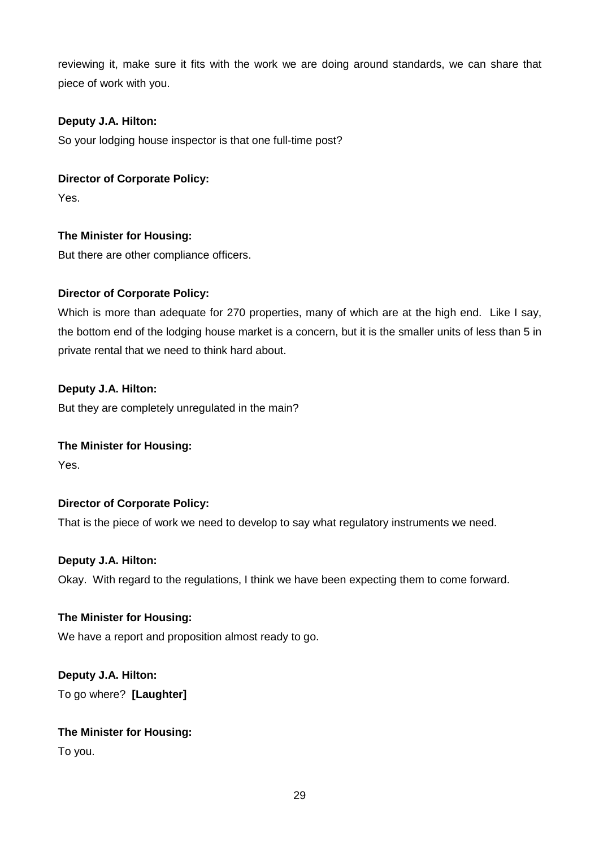reviewing it, make sure it fits with the work we are doing around standards, we can share that piece of work with you.

# **Deputy J.A. Hilton:**

So your lodging house inspector is that one full-time post?

# **Director of Corporate Policy:**

Yes.

# **The Minister for Housing:**

But there are other compliance officers.

# **Director of Corporate Policy:**

Which is more than adequate for 270 properties, many of which are at the high end. Like I say, the bottom end of the lodging house market is a concern, but it is the smaller units of less than 5 in private rental that we need to think hard about.

# **Deputy J.A. Hilton:**

But they are completely unregulated in the main?

# **The Minister for Housing:**

Yes.

# **Director of Corporate Policy:**

That is the piece of work we need to develop to say what regulatory instruments we need.

# **Deputy J.A. Hilton:**

Okay. With regard to the regulations, I think we have been expecting them to come forward.

# **The Minister for Housing:**

We have a report and proposition almost ready to go.

# **Deputy J.A. Hilton:**

To go where? **[Laughter]**

# **The Minister for Housing:**

To you.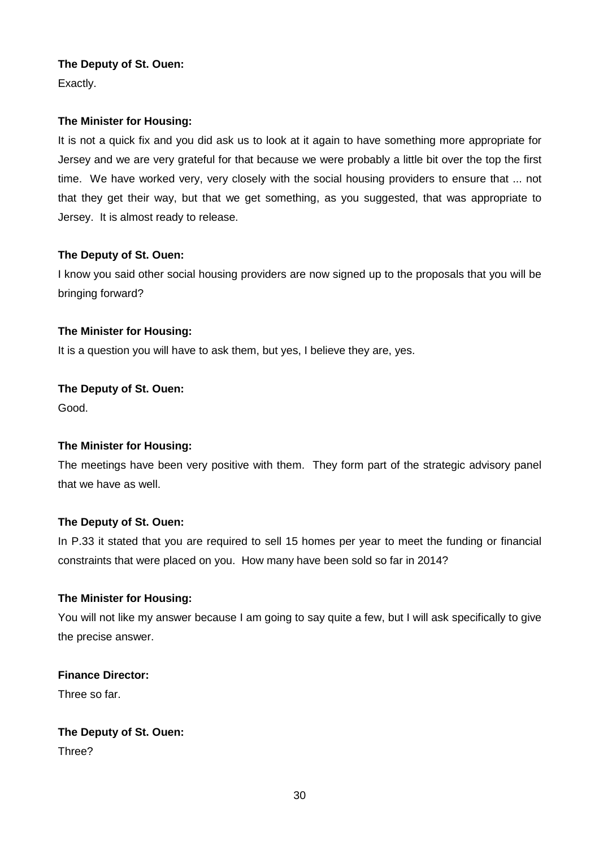Exactly.

# **The Minister for Housing:**

It is not a quick fix and you did ask us to look at it again to have something more appropriate for Jersey and we are very grateful for that because we were probably a little bit over the top the first time. We have worked very, very closely with the social housing providers to ensure that ... not that they get their way, but that we get something, as you suggested, that was appropriate to Jersey. It is almost ready to release.

# **The Deputy of St. Ouen:**

I know you said other social housing providers are now signed up to the proposals that you will be bringing forward?

# **The Minister for Housing:**

It is a question you will have to ask them, but yes, I believe they are, yes.

# **The Deputy of St. Ouen:**

Good.

# **The Minister for Housing:**

The meetings have been very positive with them. They form part of the strategic advisory panel that we have as well.

# **The Deputy of St. Ouen:**

In P.33 it stated that you are required to sell 15 homes per year to meet the funding or financial constraints that were placed on you. How many have been sold so far in 2014?

# **The Minister for Housing:**

You will not like my answer because I am going to say quite a few, but I will ask specifically to give the precise answer.

# **Finance Director:**

Three so far.

# **The Deputy of St. Ouen:**

Three?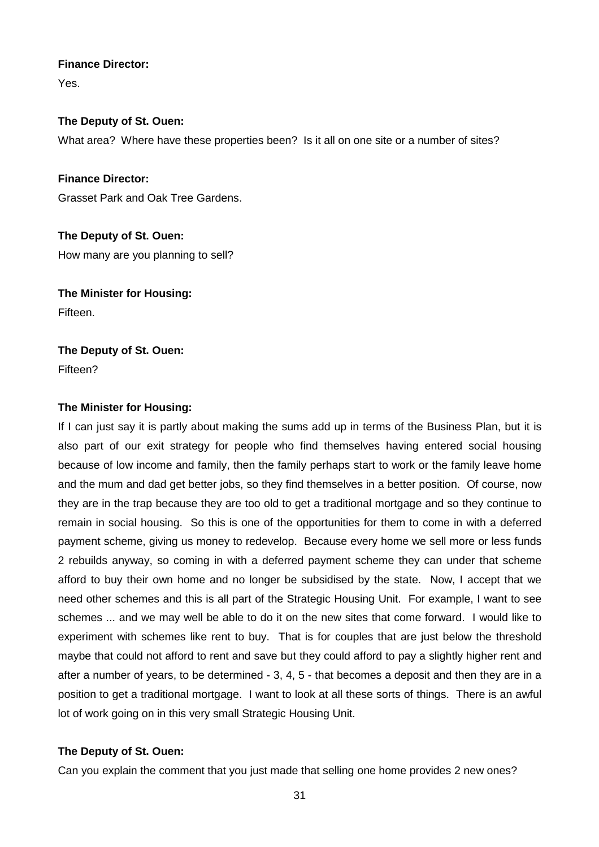### **Finance Director:**

Yes.

# **The Deputy of St. Ouen:**

What area? Where have these properties been? Is it all on one site or a number of sites?

**Finance Director:** Grasset Park and Oak Tree Gardens.

**The Deputy of St. Ouen:** How many are you planning to sell?

**The Minister for Housing:** Fifteen.

# **The Deputy of St. Ouen:**

Fifteen?

# **The Minister for Housing:**

If I can just say it is partly about making the sums add up in terms of the Business Plan, but it is also part of our exit strategy for people who find themselves having entered social housing because of low income and family, then the family perhaps start to work or the family leave home and the mum and dad get better jobs, so they find themselves in a better position. Of course, now they are in the trap because they are too old to get a traditional mortgage and so they continue to remain in social housing. So this is one of the opportunities for them to come in with a deferred payment scheme, giving us money to redevelop. Because every home we sell more or less funds 2 rebuilds anyway, so coming in with a deferred payment scheme they can under that scheme afford to buy their own home and no longer be subsidised by the state. Now, I accept that we need other schemes and this is all part of the Strategic Housing Unit. For example, I want to see schemes ... and we may well be able to do it on the new sites that come forward. I would like to experiment with schemes like rent to buy. That is for couples that are just below the threshold maybe that could not afford to rent and save but they could afford to pay a slightly higher rent and after a number of years, to be determined - 3, 4, 5 - that becomes a deposit and then they are in a position to get a traditional mortgage. I want to look at all these sorts of things. There is an awful lot of work going on in this very small Strategic Housing Unit.

# **The Deputy of St. Ouen:**

Can you explain the comment that you just made that selling one home provides 2 new ones?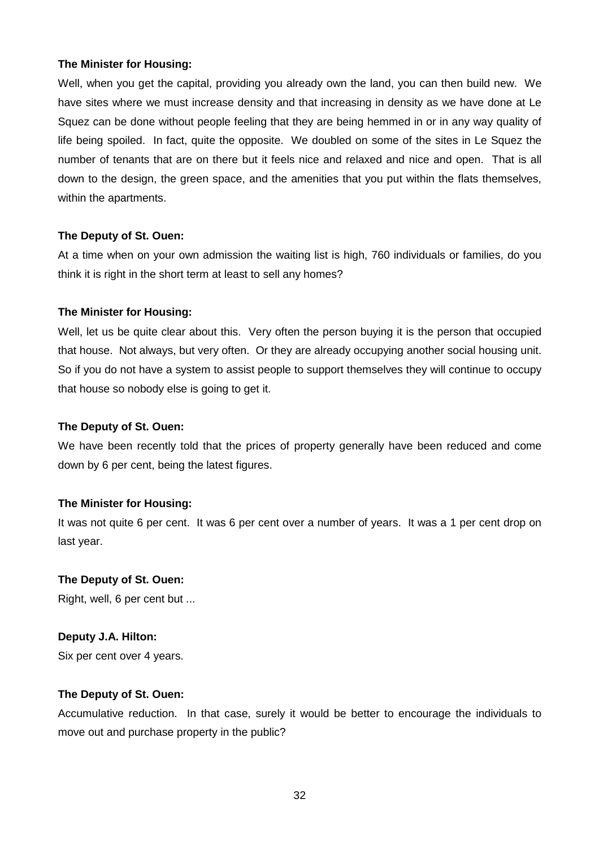Well, when you get the capital, providing you already own the land, you can then build new. We have sites where we must increase density and that increasing in density as we have done at Le Squez can be done without people feeling that they are being hemmed in or in any way quality of life being spoiled. In fact, quite the opposite. We doubled on some of the sites in Le Squez the number of tenants that are on there but it feels nice and relaxed and nice and open. That is all down to the design, the green space, and the amenities that you put within the flats themselves, within the apartments.

# **The Deputy of St. Ouen:**

At a time when on your own admission the waiting list is high, 760 individuals or families, do you think it is right in the short term at least to sell any homes?

# **The Minister for Housing:**

Well, let us be quite clear about this. Very often the person buying it is the person that occupied that house. Not always, but very often. Or they are already occupying another social housing unit. So if you do not have a system to assist people to support themselves they will continue to occupy that house so nobody else is going to get it.

# **The Deputy of St. Ouen:**

We have been recently told that the prices of property generally have been reduced and come down by 6 per cent, being the latest figures.

# **The Minister for Housing:**

It was not quite 6 per cent. It was 6 per cent over a number of years. It was a 1 per cent drop on last year.

# **The Deputy of St. Ouen:**

Right, well, 6 per cent but ...

# **Deputy J.A. Hilton:**

Six per cent over 4 years.

# **The Deputy of St. Ouen:**

Accumulative reduction. In that case, surely it would be better to encourage the individuals to move out and purchase property in the public?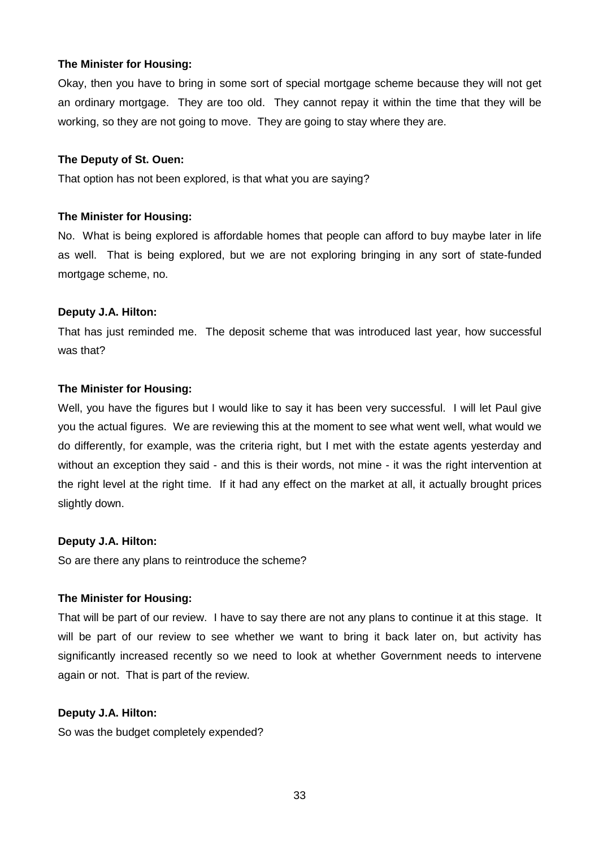Okay, then you have to bring in some sort of special mortgage scheme because they will not get an ordinary mortgage. They are too old. They cannot repay it within the time that they will be working, so they are not going to move. They are going to stay where they are.

#### **The Deputy of St. Ouen:**

That option has not been explored, is that what you are saying?

#### **The Minister for Housing:**

No. What is being explored is affordable homes that people can afford to buy maybe later in life as well. That is being explored, but we are not exploring bringing in any sort of state-funded mortgage scheme, no.

#### **Deputy J.A. Hilton:**

That has just reminded me. The deposit scheme that was introduced last year, how successful was that?

#### **The Minister for Housing:**

Well, you have the figures but I would like to say it has been very successful. I will let Paul give you the actual figures. We are reviewing this at the moment to see what went well, what would we do differently, for example, was the criteria right, but I met with the estate agents yesterday and without an exception they said - and this is their words, not mine - it was the right intervention at the right level at the right time. If it had any effect on the market at all, it actually brought prices slightly down.

# **Deputy J.A. Hilton:**

So are there any plans to reintroduce the scheme?

# **The Minister for Housing:**

That will be part of our review. I have to say there are not any plans to continue it at this stage. It will be part of our review to see whether we want to bring it back later on, but activity has significantly increased recently so we need to look at whether Government needs to intervene again or not. That is part of the review.

#### **Deputy J.A. Hilton:**

So was the budget completely expended?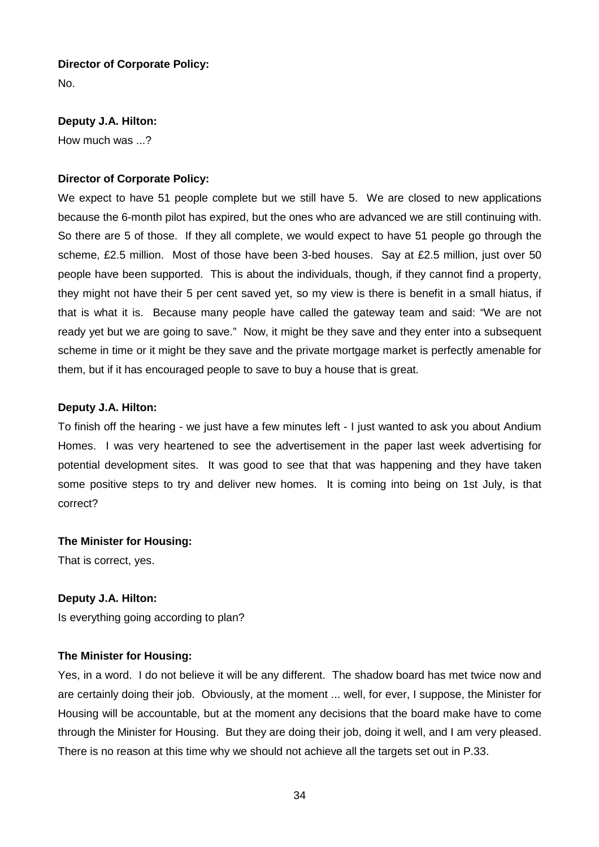# **Director of Corporate Policy:**

No.

# **Deputy J.A. Hilton:**

How much was ...?

# **Director of Corporate Policy:**

We expect to have 51 people complete but we still have 5. We are closed to new applications because the 6-month pilot has expired, but the ones who are advanced we are still continuing with. So there are 5 of those. If they all complete, we would expect to have 51 people go through the scheme, £2.5 million. Most of those have been 3-bed houses. Say at £2.5 million, just over 50 people have been supported. This is about the individuals, though, if they cannot find a property, they might not have their 5 per cent saved yet, so my view is there is benefit in a small hiatus, if that is what it is. Because many people have called the gateway team and said: "We are not ready yet but we are going to save." Now, it might be they save and they enter into a subsequent scheme in time or it might be they save and the private mortgage market is perfectly amenable for them, but if it has encouraged people to save to buy a house that is great.

# **Deputy J.A. Hilton:**

To finish off the hearing - we just have a few minutes left - I just wanted to ask you about Andium Homes. I was very heartened to see the advertisement in the paper last week advertising for potential development sites. It was good to see that that was happening and they have taken some positive steps to try and deliver new homes. It is coming into being on 1st July, is that correct?

# **The Minister for Housing:**

That is correct, yes.

# **Deputy J.A. Hilton:**

Is everything going according to plan?

# **The Minister for Housing:**

Yes, in a word. I do not believe it will be any different. The shadow board has met twice now and are certainly doing their job. Obviously, at the moment ... well, for ever, I suppose, the Minister for Housing will be accountable, but at the moment any decisions that the board make have to come through the Minister for Housing. But they are doing their job, doing it well, and I am very pleased. There is no reason at this time why we should not achieve all the targets set out in P.33.